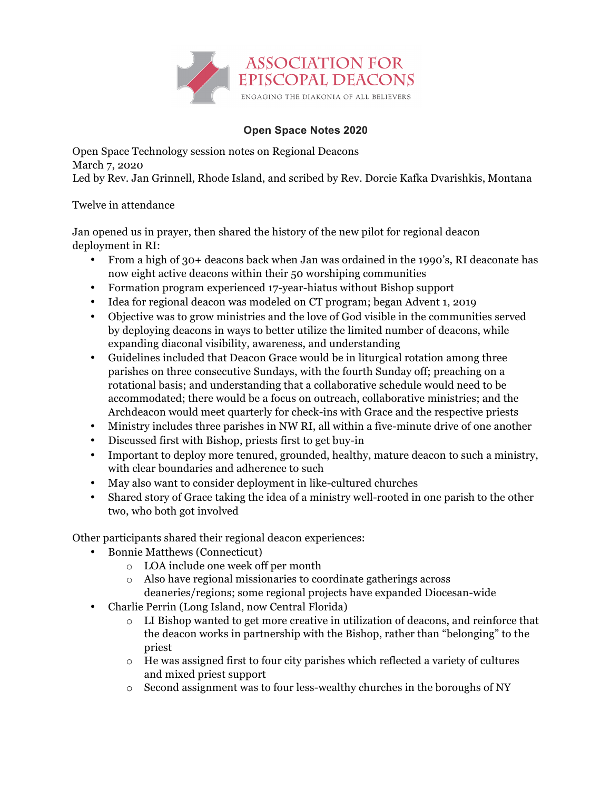

## **Open Space Notes 2020**

Open Space Technology session notes on Regional Deacons March 7, 2020 Led by Rev. Jan Grinnell, Rhode Island, and scribed by Rev. Dorcie Kafka Dvarishkis, Montana

## Twelve in attendance

Jan opened us in prayer, then shared the history of the new pilot for regional deacon deployment in RI:

- From a high of 30+ deacons back when Jan was ordained in the 1990's, RI deaconate has now eight active deacons within their 50 worshiping communities
- Formation program experienced 17-year-hiatus without Bishop support
- Idea for regional deacon was modeled on CT program; began Advent 1, 2019
- Objective was to grow ministries and the love of God visible in the communities served by deploying deacons in ways to better utilize the limited number of deacons, while expanding diaconal visibility, awareness, and understanding
- Guidelines included that Deacon Grace would be in liturgical rotation among three parishes on three consecutive Sundays, with the fourth Sunday off; preaching on a rotational basis; and understanding that a collaborative schedule would need to be accommodated; there would be a focus on outreach, collaborative ministries; and the Archdeacon would meet quarterly for check-ins with Grace and the respective priests
- Ministry includes three parishes in NW RI, all within a five-minute drive of one another
- Discussed first with Bishop, priests first to get buy-in
- Important to deploy more tenured, grounded, healthy, mature deacon to such a ministry, with clear boundaries and adherence to such
- May also want to consider deployment in like-cultured churches
- Shared story of Grace taking the idea of a ministry well-rooted in one parish to the other two, who both got involved

Other participants shared their regional deacon experiences:

- Bonnie Matthews (Connecticut)
	- o LOA include one week off per month
	- o Also have regional missionaries to coordinate gatherings across deaneries/regions; some regional projects have expanded Diocesan-wide
- Charlie Perrin (Long Island, now Central Florida)
	- o LI Bishop wanted to get more creative in utilization of deacons, and reinforce that the deacon works in partnership with the Bishop, rather than "belonging" to the priest
	- $\circ$  He was assigned first to four city parishes which reflected a variety of cultures and mixed priest support
	- $\circ$  Second assignment was to four less-wealthy churches in the boroughs of NY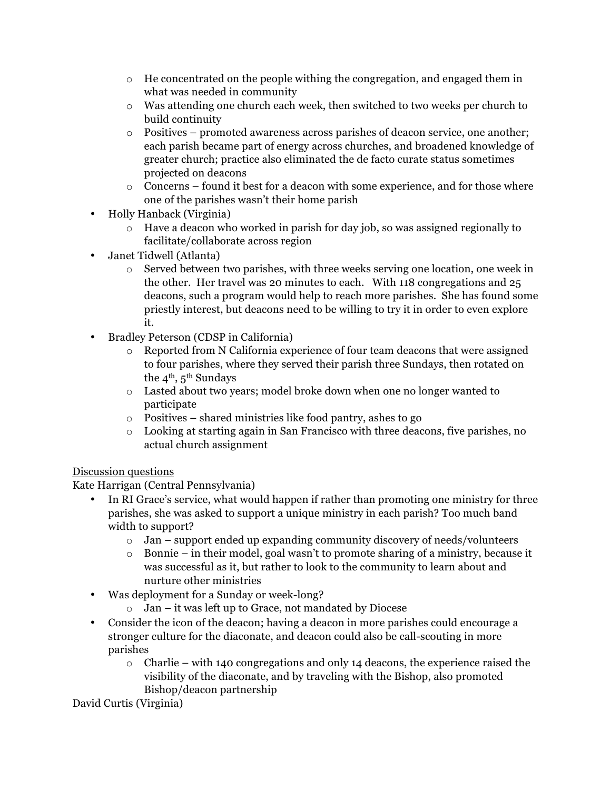- $\circ$  He concentrated on the people withing the congregation, and engaged them in what was needed in community
- o Was attending one church each week, then switched to two weeks per church to build continuity
- o Positives promoted awareness across parishes of deacon service, one another; each parish became part of energy across churches, and broadened knowledge of greater church; practice also eliminated the de facto curate status sometimes projected on deacons
- $\circ$  Concerns found it best for a deacon with some experience, and for those where one of the parishes wasn't their home parish
- Holly Hanback (Virginia)
	- o Have a deacon who worked in parish for day job, so was assigned regionally to facilitate/collaborate across region
- Janet Tidwell (Atlanta)
	- o Served between two parishes, with three weeks serving one location, one week in the other. Her travel was 20 minutes to each. With 118 congregations and 25 deacons, such a program would help to reach more parishes. She has found some priestly interest, but deacons need to be willing to try it in order to even explore it.
- Bradley Peterson (CDSP in California)
	- o Reported from N California experience of four team deacons that were assigned to four parishes, where they served their parish three Sundays, then rotated on the  $4^{\text{th}}$ ,  $5^{\text{th}}$  Sundays
	- o Lasted about two years; model broke down when one no longer wanted to participate
	- o Positives shared ministries like food pantry, ashes to go
	- o Looking at starting again in San Francisco with three deacons, five parishes, no actual church assignment

## Discussion questions

Kate Harrigan (Central Pennsylvania)

- In RI Grace's service, what would happen if rather than promoting one ministry for three parishes, she was asked to support a unique ministry in each parish? Too much band width to support?
	- $\circ$  Jan support ended up expanding community discovery of needs/volunteers
	- o Bonnie in their model, goal wasn't to promote sharing of a ministry, because it was successful as it, but rather to look to the community to learn about and nurture other ministries
- Was deployment for a Sunday or week-long?
	- o Jan it was left up to Grace, not mandated by Diocese
- Consider the icon of the deacon; having a deacon in more parishes could encourage a stronger culture for the diaconate, and deacon could also be call-scouting in more parishes
	- $\circ$  Charlie with 140 congregations and only 14 deacons, the experience raised the visibility of the diaconate, and by traveling with the Bishop, also promoted Bishop/deacon partnership

David Curtis (Virginia)